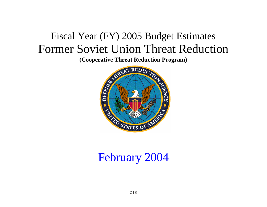# Fiscal Year (FY) 2005 Budget Estimates Former Soviet Union Threat Reduction

**(Cooperative Threat Reduction Program)**



# February 2004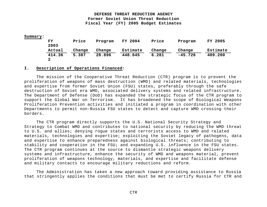#### **Summary:**

| FY     | Price  | Program | FY 2004  | Price  | Program   | FY 2005  |
|--------|--------|---------|----------|--------|-----------|----------|
| 2003   |        |         |          |        |           |          |
| Actual | Change | Change  | Estimate | Change | Change    | Estimate |
| 414.36 | 5.387  | 28,896  | 448.645  | 6.281  | $-45.726$ | 409.200  |
|        |        |         |          |        |           |          |

#### **I. Description of Operations Financed:**

The mission of the Cooperative Threat Reduction (CTR) program is to prevent the proliferation of weapons of mass destruction (WMD) and related materials, technologies and expertise from former Soviet Union (FSU) states, preferably through the safe destruction of Soviet era WMD, associated delivery systems and related infrastructure. The Department of Defense (DoD) has expanded the strategic focus of the CTR program to support the Global War on Terrorism. It has broadened the scope of Biological Weapons Proliferation Prevention activities and initiated a program in coordination with other Departments to permit non-Russia FSU states to detect and capture WMD crossing their borders.

The CTR program directly supports the U.S. National Security Strategy and Strategy to Combat WMD and contributes to national security by reducing the WMD threat to U.S. and allies; denying rogue states and terrorists access to WMD and related materials, technologies and expertise; exploiting the Soviet legacy of pathogens, data and expertise to enhance preparedness against biological threats; contributing to stability and cooperation in the FSU; and expanding U.S. influence in the FSU states. The CTR program continues at the source to dismantle strategic weapons delivery systems and infrastructure, enhance the security of WMD and weapons material, prevent proliferation of weapons technology, materials, and expertise and facilitate defense and military contacts to encourage military reductions and reform.

The Administration has taken a new approach toward providing assistance to Russia that stringently applies the conditions that must be met to certify Russia for CTR and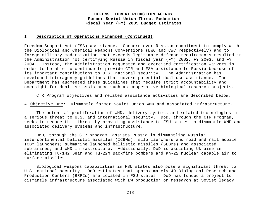#### **I. Description of Operations Financed (Continued):**

Freedom Support Act (FSA) assistance. Concern over Russian commitment to comply with the Biological and Chemical Weapons Conventions (BWC and CWC respectively) and to forego military modernization that exceeds legitimate defense requirements resulted in the Administration not certifying Russia in fiscal year (FY) 2002, FY 2003, and FY 2004. Instead, the Administration requested and exercised certification waivers in order to be able to continue to provide CTR and FSA assistance to Russia because of its important contributions to U.S. national security. The Administration has developed interagency guidelines that govern potential dual use assistance. The Department has augmented these guidelines that require strict accountability and oversight for dual use assistance such as cooperative biological research projects.

CTR Program objectives and related assistance activities are described below.

A. Objective One: Dismantle former Soviet Union WMD and associated infrastructure.

The potential proliferation of WMD, delivery systems and related technologies is a serious threat to U.S. and international security. DoD, through the CTR Program, seeks to reduce this threat by providing assistance to FSU states to dismantle WMD and associated delivery systems and infrastructure.

DoD, through the CTR program, assists Russia in dismantling Russian intercontinental ballistic missiles (ICBMs); silo launchers and road and rail mobile ICBM launchers; submarine launched ballistic missiles (SLBMs) and associated submarines; and WMD infrastructure. Additionally, DoD is assisting Ukraine in eliminating Tu-142 Bear and Tu-22M Backfire bombers and Kh-22 nuclear capable air to surface missiles.

Biological weapons capabilities in FSU states also pose a significant threat to U.S. national security. DoD estimates that approximately 40 Biological Research and Production Centers (BRPCs) are located in FSU states. DoD has funded a project to dismantle infrastructure associated with BW production or research at Soviet legacy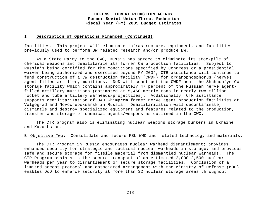#### **I. Description of Operations Financed (Continued):**

facilities. This project will eliminate infrastructure, equipment, and facilities previously used to perform BW related research and/or produce BW.

As a State Party to the CWC, Russia has agreed to eliminate its stockpile of chemical weapons and demilitarize its former CW production facilities. Subject to Russia's being certified for the conditions specified by Congress or a presidential waiver being authorized and exercised beyond FY 2004, CTR assistance will continue to fund construction of a CW destruction facility (CWDF) for organophosphorus (nerve) agent-filled artillery munitions. DoD will construct the CWDF near the Shchuch'ye CW storage facility which contains approximately 47 percent of the Russian nerve agentfilled artillery munitions (estimated at 5,460 metric tons in nearly two million rocket and tube artillery warheads/projectiles). Additionally, CTR assistance supports demilitarization of OAO Khimprom former nerve agent production facilities at Volgograd and Novocheboksarsk in Russia. Demilitarization will decontaminate, dismantle and destroy specialized equipment and features related to the production, transfer and storage of chemical agents/weapons as outlined in the CWC.

The CTR program also is eliminating nuclear weapons storage bunkers in Ukraine and Kazakhstan.

B. Objective Two: Consolidate and secure FSU WMD and related technology and materials.

The CTR Program in Russia encourages nuclear warhead dismantlement; provides enhanced security for strategic and tactical nuclear warheads in storage; and provides safe and secure storage for fissile material from dismantled nuclear warheads. The CTR Program assists in the secure transport of an estimated 2,000-2,500 nuclear warheads per year to dismantlement or secure storage facilities. Conclusion of a limited access protocol and associated arrangement with the Ministry of Defense (MOD) enables DoD to enhance security at more than 32 nuclear storage areas throughout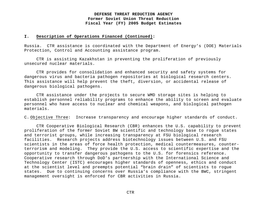#### **I. Description of Operations Financed (Continued):**

Russia. CTR assistance is coordinated with the Department of Energy's (DOE) Materials Protection, Control and Accounting assistance program.

CTR is assisting Kazakhstan in preventing the proliferation of previously unsecured nuclear materials.

CTR provides for consolidation and enhanced security and safety systems for dangerous virus and bacteria pathogen repositories at biological research centers. This assistance will help prevent the theft, diversion, or accidental release of dangerous biological pathogens.

CTR assistance under the projects to secure WMD storage sites is helping to establish personnel reliability programs to enhance the ability to screen and evaluate personnel who have access to nuclear and chemical weapons, and biological pathogen materials.

C. Objective Three: Increase transparency and encourage higher standards of conduct.

CTR Cooperative Biological Research (CBR) enhances the U.S. capability to prevent proliferation of the former Soviet BW scientific and technology base to rogue states and terrorist groups, while increasing transparency at FSU biological research facilities. Research projects address biotechnology issues between U.S. and FSU scientists in the areas of force health protection, medical countermeasures, counterterrorism and modeling. They provide the U.S. access to scientific expertise and the opportunity to transfer dangerous pathogens to the U.S. for forensics reference. Cooperative research through DoD's partnership with the International Science and Technology Center (ISTC) encourages higher standards of openness, ethics and conduct at the scientist level and preempts potential "brain drain" of scientists to rogue states. Due to continuing concerns over Russia's compliance with the BWC, stringent management oversight is enforced for CBR activities in Russia.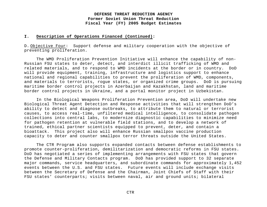#### **I. Description of Operations Financed (Continued):**

D. Objective Four: Support defense and military cooperation with the objective of preventing proliferation.

The WMD Proliferation Prevention Initiative will enhance the capability of non-Russian FSU states to deter, detect, and interdict illicit trafficking of WMD and related materials, and to respond to WMD incidents at the border or in country. DoD will provide equipment, training, infrastructure and logistics support to enhance national and regional capabilities to prevent the proliferation of WMD, components, and materials to terrorists, rogue states, or organized crime groups. DoD is pursuing maritime border control projects in Azerbaijan and Kazakhstan, land and maritime border control projects in Ukraine, and a portal monitor project in Uzbekistan.

In the Biological Weapons Proliferation Prevention area, DoD will undertake new Biological Threat Agent Detection and Response activities that will strengthen DoD's ability to detect and diagnose outbreaks, to attribute them to natural or terrorist causes, to access real-time, unfiltered medical intelligence, to consolidate pathogen collections into central labs, to modernize diagnostic capabilities to minimize need for pathogen retention at vulnerable field stations, and to develop a network of trained, ethical partner scientists equipped to prevent, deter, and contain a bioattack. This project also will enhance Russian smallpox vaccine production capacity to deter and counter smallpox terror threats outside the United States.

The CTR Program also supports expanded contacts between defense establishments to promote counter-proliferation, demilitarization and democratic reforms in FSU states. DoD has negotiated a series of implementing arrangements with FSU states that govern the Defense and Military Contacts program. DoD has provided support to 32 separate major commands, service headquarters, and subordinate commands for approximately 1,452 events between the U.S. and FSU states. Future events will include exchange visits between the Secretary of Defense and the Chairman, Joint Chiefs of Staff with their FSU states' counterparts; visits between naval, air and ground units; bilateral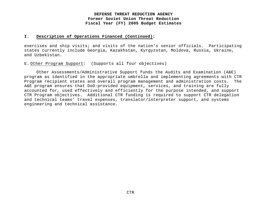#### **I. Description of Operations Financed (Continued):**

exercises and ship visits; and visits of the nation's senior officials. Participating states currently include Georgia, Kazakhstan, Kyrgyzstan, Moldova, Russia, Ukraine, and Uzbekistan.

E. Other Program Support: (Supports all four objectives)

Other Assessments/Administrative Support funds the Audits and Examination (A&E) program as identified in the appropriate umbrella and implementing agreements with CTR Program recipient states and overall program management and administration costs. The A&E program ensures that DoD-provided equipment, services, and training are fully accounted for, used effectively and efficiently for the purpose intended, and support CTR Program objectives. Additional CTR funding is required to support CTR delegation and technical teams' travel expenses, translator/interpreter support, and systems engineering and technical assistance.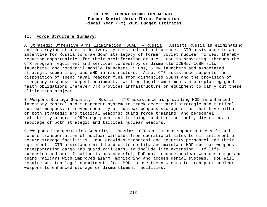#### **II. Force Structure Summary:**

A. Strategic Offensive Arms Elimination (SOAE) – Russia: Assists Russia in eliminating and destroying strategic delivery systems and infrastructure. CTR assistance is an incentive for Russia to draw down its legacy of former Soviet nuclear forces, thereby reducing opportunities for their proliferation or use. DoD is providing, through the CTR program, equipment and services to destroy or dismantle ICBMs, ICBM silo launchers, and road/rail mobile launchers, SLBMs, SLBM launchers and associated strategic submarines, and WMD infrastructure. Also, CTR assistance supports the disposition of spent naval reactor fuel from dismantled SSBNs and the provision of emergency response support equipment. Written legal commitments are replacing good faith obligations whenever CTR provides infrastructure or equipment to carry out these elimination projects.

B. Weapons Storage Security – Russia: CTR assistance is providing MOD an enhanced inventory control and management system to track deactivated strategic and tactical nuclear weapons; improved security at nuclear weapons storage sites that have either or both strategic and tactical weapons; guard force training; and personnel reliability program (PRP) equipment and training to deter the theft, diversion, or sabotage of both strategic and tactical nuclear weapons.

C. Weapons Transportation Security – Russia: CTR assistance supports the safe and secure transportation of nuclear warheads from operational sites to dismantlement or secure storage facilities. MOD provides technical and security personnel and their equipment. CTR assistance will be used to certify and maintain MOD nuclear weapons transportation cargo and guard rail cars, to include life extension. If life extension and certification is unsuccessful, DoD may procure nuclear weapons cargo and guard railcars with improved alarm, monitoring and access denial systems. DoD will require written legal commitments from MOD to use the new cars to transport nuclear weapons to enhanced storage or dismantlement facilities.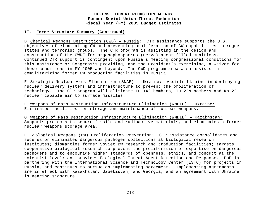#### **II. Force Structure Summary (Continued):**

D. Chemical Weapons Destruction (CWD) – Russia: CTR assistance supports the U.S. objectives of eliminating CW and preventing proliferation of CW capabilities to rogue states and terrorist groups. The CTR program is assisting in the design and construction of the CWDF for organophosphorus (nerve) agent filled munitions. Continued CTR support is contingent upon Russia's meeting congressional conditions for this assistance or Congress's providing, and the President's exercising, a waiver for these conditions in FY 2005 and beyond. The CWD program area also assists in demilitarizing former CW production facilities in Russia.

E. Strategic Nuclear Arms Elimination (SNAE) – Ukraine: Assists Ukraine in destroying nuclear delivery systems and infrastructure to prevent the proliferation of technology. The CTR program will eliminate Tu-142 bombers, Tu-22M bombers and Kh-22 nuclear capable air to surface missiles.

F. Weapons of Mass Destruction Infrastructure Elimination (WMDIE) – Ukraine: Eliminates facilities for storage and maintenance of nuclear weapons.

G. Weapons of Mass Destruction Infrastructure Elimination (WMDIE) – Kazakhstan: Supports projects to secure fissile and radioactive materials, and eliminates a former nuclear weapons storage area.

H. Biological Weapons (BW) Proliferation Prevention: CTR assistance consolidates and secures or eliminates dangerous pathogen collections at biological research institutes; dismantles former Soviet BW research and production facilities; targets cooperative biological research to prevent the proliferation of expertise on dangerous pathogens and to encourage higher standards of openness, ethics, and conduct at the scientist level; and provides Biological Threat Agent Detection and Response. DoD is partnering with the International Science and Technology Center (ISTC) for projects in Russia, and continues to pursue an implementing agreement. Implementing agreements are in effect with Kazakhstan, Uzbekistan, and Georgia, and an agreement with Ukraine is nearing signature.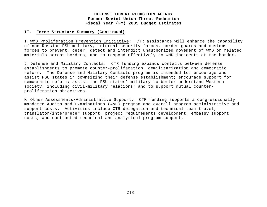#### **II. Force Structure Summary (Continued):**

I. WMD Proliferation Prevention Initiative: CTR assistance will enhance the capability of non-Russian FSU military, internal security forces, border guards and customs forces to prevent, deter, detect and interdict unauthorized movement of WMD or related materials across borders, and to respond effectively to WMD incidents at the border.

J. Defense and Military Contacts: CTR funding expands contacts between defense establishments to promote counter-proliferation, demilitarization and democratic reform. The Defense and Military Contacts program is intended to: encourage and assist FSU states in downsizing their defense establishment; encourage support for democratic reform; assist the FSU states' military to better understand Western society, including civil-military relations; and to support mutual counterproliferation objectives.

K. Other Assessments/Administrative Support: CTR funding supports a congressionally mandated Audits and Examinations (A&E) program and overall program administrative and support costs. Activities include CTR delegation and technical team travel, translator/interpreter support, project requirements development, embassy support costs, and contracted technical and analytical program support.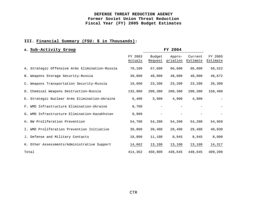# **III. Financial Summary (FSU: \$ in Thousands):**

| A. Sub-Activity Group                          |                    | FY 2004           |                    |                     |                     |
|------------------------------------------------|--------------------|-------------------|--------------------|---------------------|---------------------|
|                                                | FY 2003<br>Actuals | Budget<br>Request | Appro-<br>priation | Current<br>Estimate | FY 2005<br>Estimate |
| A. Strategic Offensive Arms Elimination-Russia | 70,100             | 57,600            | 66,600             | 66,600              | 58,522              |
| B. Weapons Storage Security-Russia             | 39,800             | 48,000            | 48,000             | 48,000              | 48,672              |
| C. Weapons Transportation Security-Russia      | 19,600             | 23,200            | 23,200             | 23,200              | 26,300              |
| D. Chemical Weapons Destruction-Russia         | 132,900            | 200,300           | 200,300            | 200,300             | 158,400             |
| E. Strategic Nuclear Arms Elimination-Ukraine  | 6,400              | 3,900             | 4,900              | 4,900               |                     |
| F. WMD Infrastructure Elimination-Ukraine      | 8,700              | $\qquad \qquad -$ |                    |                     |                     |
| G. WMD Infrastructure Elimination-Kazakhstan   | 8,900              |                   |                    |                     |                     |
| H. BW Proliferation Prevention                 | 54,700             | 54,200            | 54,200             | 54,200              | 54,959              |
| I. WMD Proliferation Prevention Initiative     | 39,800             | 39,400            | 29,400             | 29,400              | 40,030              |
| J. Defense and Military Contacts               | 18,800             | 11,100            | 8,945              | 8,945               | 8,000               |
| K. Other Assessments/Administrative Support    | 14,662             | 13,100            | 13,100             | 13,100              | 14,317              |
| Total                                          | 414,362            | 450,800           | 448,645            | 448,645             | 409,200             |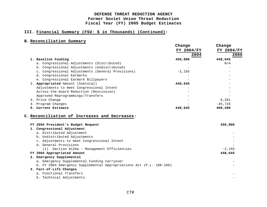# **III. Financial Summary (FSU: \$ in Thousands) (Continued):**

# **B. Reconciliation Summary**

|                                                                     | Change     | Change     |
|---------------------------------------------------------------------|------------|------------|
|                                                                     | FY 2004/FY | FY 2004/FY |
|                                                                     | 2004       | 2005       |
| 1. Baseline Funding                                                 | 450,800    | 448,645    |
| a. Congressional Adjustments (Distributed)                          |            | N/A        |
| b. Congressional Adjustments (Undistributed)                        |            |            |
| c. Congressional Adjustments (General Provisions)                   | $-2,155$   |            |
| d. Congressional Earmarks                                           |            |            |
| e. Congressional Earmark Billpayers                                 |            |            |
| 2. Appropriated Amount (Subtotal)                                   | 448,645    |            |
| Adjustments to meet Congressional Intent                            |            |            |
| Across-the-board Reduction (Rescission)                             |            |            |
| Approved Reprogrammings/Transfers                                   |            |            |
| 3. Price Change                                                     |            | 6,281      |
| 4. Program Changes                                                  |            | $-45,726$  |
| 5. Current Estimate                                                 | 448,645    | 409,200    |
|                                                                     |            |            |
| C. Reconciliation of Increases and Decreases:                       |            |            |
|                                                                     |            |            |
| FY 2004 President's Budget Request                                  |            | 450,800    |
| 1. Congressional Adjustment                                         |            |            |
| a. Distributed Adjustment                                           |            |            |
| b. Undistributed Adjustments                                        |            |            |
| c. Adjustments to meet Congressional Intent                         |            |            |
| d. General Provisions                                               |            |            |
| Section 8126a - Management Efficiencies<br>(1)                      |            | $-2,155$   |
| FY 2004 Appropriated Amount                                         |            | 448,645    |
| 2. Emergency Supplemental                                           |            |            |
| a. Emergency Supplemental Funding Carryover                         |            |            |
| b. FY 2004 Emergency Supplemental Appropriations Act (P.L. 108-106) |            |            |
| 3. Fact-of-Life Changes                                             |            |            |
| a. Functional Transfers                                             |            |            |
| b. Technical Adjustments                                            |            |            |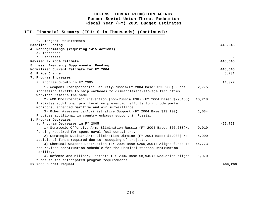# **III. Financial Summary (FSU: \$ in Thousands) (Continued):**

| c. Emergent Requirements                                                          |          |           |
|-----------------------------------------------------------------------------------|----------|-----------|
| Baseline Funding                                                                  |          | 448,645   |
| 4. Reprogrammings (requiring 1415 Actions)                                        |          |           |
| a. Increases                                                                      |          |           |
| b. Decreases                                                                      |          |           |
| Revised FY 2004 Estimate                                                          |          | 448,645   |
| 5. Less: Emergency Supplemental Funding                                           |          |           |
| Normalized Current Estimate for FY 2004                                           |          | 448,645   |
| 6. Price Change                                                                   |          | 6,281     |
| 7. Program Increases                                                              |          |           |
| a. Program Growth in FY 2005                                                      |          | 14,027    |
| 1) Weapons Transportation Security-Russia (FY 2004 Base: \$23,200) Funds          | 2,775    |           |
| increasing tariffs to ship warheads to dismantlement/storage facilities.          |          |           |
| Workload remains the same.                                                        |          |           |
| 2) WMD Proliferation Prevention (non-Russia FSU) (FY 2004 Base: \$29,400)         | 10,218   |           |
| Initiates additional proliferation prevention efforts to include portal           |          |           |
| monitors, enhanced maritime and air surveillance.                                 |          |           |
| 3) Other Assessments/Administrative Support (FY 2004 Base \$13,100)               | 1,034    |           |
| Provides additional in country embassy support in Russia.                         |          |           |
| 8. Program Decreases                                                              |          |           |
| a. Program Decreases in FY 2005                                                   |          | $-59,753$ |
| 1) Strategic Offensive Arms Elimination-Russia (FY 2004 Base: \$66,600)No         | $-9.010$ |           |
| funding required for spent naval fuel containers.                                 |          |           |
| 2) Strategic Nuclear Arms Elimination-Ukraine (FY 2004 Base: \$4,900) No          | $-4,900$ |           |
| additional funds required due to rescoping of projects.                           |          |           |
| 3) Chemical Weapons Destruction (FY 2004 Base \$200,300): Aligns funds to -44,773 |          |           |
| the revised construction schedule for the Chemical Weapons Destruction            |          |           |
| Facility.                                                                         |          |           |
| 4) Defense and Military Contacts (FY 2004 Base \$8,945): Reduction aligns         | $-1,070$ |           |
| funds to the anticipated program requirements.                                    |          |           |
| FY 2005 Budget Request                                                            |          | 409,200   |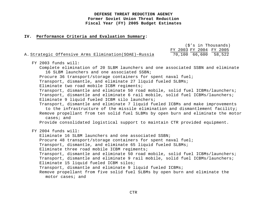#### **IV. Performance Criteria and Evaluation Summary:**

|                                                      | (\$'s in Thousands)     |
|------------------------------------------------------|-------------------------|
|                                                      | FY 2003 FY 2004 FY 2005 |
| A. Strategic Offensive Arms Elimination(SOAE)-Russia | 70,100 66,600 58,522    |

FY 2003 funds will: Complete elimination of 20 SLBM launchers and one associated SSBN and eliminate 16 SLBM launchers and one associated SSBN; Procure 36 transport/storage containers for spent naval fuel; Transport, dismantle, and eliminate 27 liquid fueled SLBMs; Eliminate two road mobile ICBM regiments; Transport, dismantle and eliminate 50 road mobile, solid fuel ICBMs/launchers; Transport, dismantle and eliminate 6 rail mobile, solid fuel ICBMs/launchers; Eliminate 9 liquid fueled ICBM silo launchers; Transport, dismantle and eliminate 7 liquid fueled ICBMs and make improvements to the infrastructure of the missile elimination and dismantlement facility; Remove propellant from ten solid fuel SLBMs by open burn and eliminate the motor cases; and Provide consolidated logistical support to maintain CTR provided equipment. FY 2004 funds will: Eliminate 16 SLBM launchers and one associated SSBN; Procure 48 transport/storage containers for spent naval fuel; Transport, dismantle, and eliminate 65 liquid fueled SLBMs; Eliminate three road mobile ICBM regiments; Transport, dismantle and eliminate 50 road mobile, solid fuel ICBMs/launchers; Transport, dismantle and eliminate 9 rail mobile, solid fuel ICBMs/launchers; Eliminate 15 liquid fueled ICBM silos; Transport, dismantle and eliminate 9 liquid fueled ICBMs; Remove propellant from five solid fuel SLBMs by open burn and eliminate the motor cases; and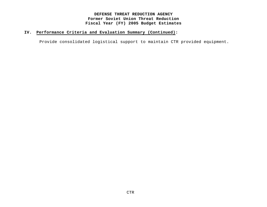# **IV. Performance Criteria and Evaluation Summary (Continued):**

Provide consolidated logistical support to maintain CTR provided equipment.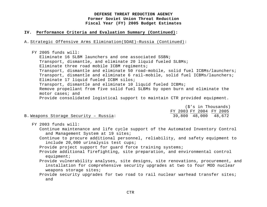## **IV. Performance Criteria and Evaluation Summary (Continued):**

A. Strategic Offensive Arms Elimination(SOAE)–Russia (Continued):

FY 2005 funds will: Eliminate 16 SLBM launchers and one associated SSBN; Transport, dismantle, and eliminate 20 liquid fueled SLBMs; Eliminate three road mobile ICBM regiments; Transport, dismantle and eliminate 50 road-mobile, solid fuel ICBMs/launchers; Transport, dismantle and eliminate 6 rail-mobile, solid fuel ICBMs/launchers; Eliminate 17 liquid fueled ICBM silos; Transport, dismantle and eliminate 10 liquid fueled ICBMs; Remove propellant from five solid fuel SLBMs by open burn and eliminate the motor cases; and Provide consolidated logistical support to maintain CTR provided equipment.

|                                      |                         | (\$'s in Thousands) |
|--------------------------------------|-------------------------|---------------------|
|                                      | FY 2003 FY 2004 FY 2005 |                     |
| B.Weapons Storage Security - Russia: | 39,800 48,000 48,672    |                     |

FY 2003 funds will:

Continue maintenance and life cycle support of the Automated Inventory Control and Management System at 19 sites;

Continue to procure additional personnel, reliability, and safety equipment to include 20,000 urinalysis test cups;

Provide project support for guard force training systems;

- Provide additional firefighting, site preparation, and environmental control equipment;
- Provide vulnerability analyses, site designs, site renovations, procurement, and installation for comprehensive security upgrades at two to four MOD nuclear weapons storage sites;
- Provide security upgrades for two road to rail nuclear warhead transfer sites; and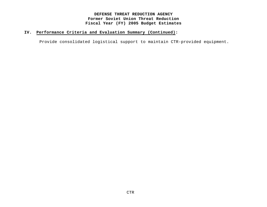# **IV. Performance Criteria and Evaluation Summary (Continued):**

Provide consolidated logistical support to maintain CTR-provided equipment.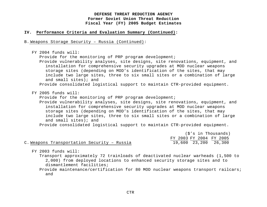## **IV. Performance Criteria and Evaluation Summary (Continued):**

B. Weapons Storage Security – Russia (Continued):

```
FY 2004 funds will:
Provide for the monitoring of PRP program development;
Provide vulnerability analyses, site designs, site renovations, equipment, and 
   installation for comprehensive security upgrades at MOD nuclear weapons 
   storage sites (depending on MOD's identification of the sites, that may 
   include two large sites, three to six small sites or a combination of large 
   and small sites); and
 Provide consolidated logistical support to maintain CTR-provided equipment.
```
FY 2005 funds will:

Provide for the monitoring of PRP program development;

Provide vulnerability analyses, site designs, site renovations, equipment, and installation for comprehensive security upgrades at MOD nuclear weapons storage sites (depending on MOD's identification of the sites, that may include two large sites, three to six small sites or a combination of large and small sites); and

Provide consolidated logistical support to maintain CTR-provided equipment.

|                                             | (\$'s in Thousands)     |  |
|---------------------------------------------|-------------------------|--|
|                                             | FY 2003 FY 2004 FY 2005 |  |
| C. Weapons Transportation Security - Russia | 19,600 23,200 26,300    |  |

FY 2003 funds will:

Transport approximately 72 trainloads of deactivated nuclear warheads (1,500 to 2,000) from deployed locations to enhanced security storage sites and to dismantlement facilities;

Provide maintenance/certification for 80 MOD nuclear weapons transport railcars; and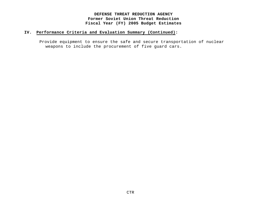# **IV. Performance Criteria and Evaluation Summary (Continued):**

Provide equipment to ensure the safe and secure transportation of nuclear weapons to include the procurement of five guard cars.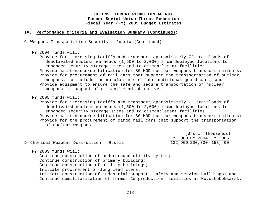## **IV. Performance Criteria and Evaluation Summary (Continued):**

C. Weapons Transportation Security – Russia (Continued):

#### FY 2004 funds will:

Provide for increasing tariffs and transport approximately 72 trainloads of deactivated nuclear warheads (1,500 to 2,000) from deployed locations to enhanced security storage sites and to dismantlement facilities; Provide maintenance/certification for 80 MOD nuclear weapons transport railcars; Provide for procurement of rail cars that support the transportation of nuclear weapons, to include the manufacture of four additional guard cars; and Provide equipment to ensure the safe and secure transportation of nuclear weapons in support of dismantlement objectives.

FY 2005 funds will:

Provide for increasing tariffs and transport approximately 72 trainloads of deactivated nuclear warheads (1,500 to 2,000) from deployed locations to enhanced security storage sites and to dismantlement facilities; Provide maintenance/certification for 80 MOD nuclear weapons transport railcars; Provide for the procurement of cargo rail cars that support the transportation of nuclear weapons.

|                                          |                         | (\$'s in Thousands) |
|------------------------------------------|-------------------------|---------------------|
|                                          | FY 2003 FY 2004 FY 2005 |                     |
| D. Chemical Weapons Destruction - Russia | 132,900 200,300 158,400 |                     |

FY 2003 funds will:

Continue construction of underground utility system; Continue construction of primary building; Continue construction of utility buildings; Initiate procurement of long lead items; Initiate construction of industrial support, safety and service buildings; and Continue demilitarization of former CW production facilities at Novocheboksarsk.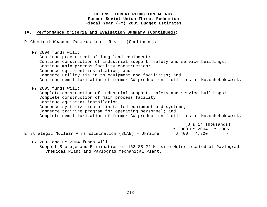#### **IV. Performance Criteria and Evaluation Summary (Continued):**

D. Chemical Weapons Destruction – Russia (Continued):

FY 2004 funds will: Continue procurement of long lead equipment; Continue construction of industrial support, safety and service buildings; Continue main process facility construction; Commence equipment installation; and Commence utility tie in to equipment and facilities; and Continue demilitarization of former CW production facilities at Novocheboksarsk. FY 2005 funds will: Complete construction of industrial support, safety and service buildings; Complete construction of main process facility; Continue equipment installation; Commence systemization of installed equipment and systems; Commence training program for operating personnel; and Complete demilitarization of former CW production facilities at Novocheboksarsk.

|  |  |                                                       |  |  |                         | (\$'s in Thousands) |
|--|--|-------------------------------------------------------|--|--|-------------------------|---------------------|
|  |  |                                                       |  |  | FY 2003 FY 2004 FY 2005 |                     |
|  |  | E.Strategic Nuclear Arms Elimination (SNAE) - Ukraine |  |  | 6,400 4,900             | $\sim$              |

FY 2003 and FY 2004 funds will:

Support Storage and Elimination of 163 SS-24 Missile Motor located at Pavlograd Chemical Plant and Pavlograd Mechanical Plant.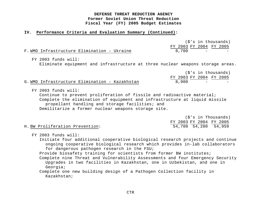#### **IV. Performance Criteria and Evaluation Summary (Continued):**

|                                            | (\$'s in thousands)                                     |
|--------------------------------------------|---------------------------------------------------------|
|                                            | FY 2003 FY 2004 FY 2005                                 |
| F.WMD Infrastructure Elimination - Ukraine | 8.700<br>the company's company's state of the company's |

FY 2003 funds will:

Eliminate equipment and infrastructure at three nuclear weapons storage areas.

|                                                |       | (\$'s in thousands)     |
|------------------------------------------------|-------|-------------------------|
|                                                |       | FY 2003 FY 2004 FY 2005 |
| G. WMD Infrastructure Elimination - Kazakhstan | 8,900 |                         |

FY 2003 funds will:

Continue to prevent proliferation of fissile and radioactive material; Complete the elimination of equipment and infrastructure at liquid missile propellant handling and storage facilities; and Demilitarize a former nuclear weapons storage site.

|  |                                 |  |  |  |  |  |  |  |  |  | (\$'s in Thousands)     |  |  |
|--|---------------------------------|--|--|--|--|--|--|--|--|--|-------------------------|--|--|
|  |                                 |  |  |  |  |  |  |  |  |  | FY 2003 FY 2004 FY 2005 |  |  |
|  | H. BW Proliferation Prevention: |  |  |  |  |  |  |  |  |  | 54,700 54,200 54,959    |  |  |

FY 2003 funds will:

Initiate four additional cooperative biological research projects and continue ongoing cooperative biological research which provides in-lab collaborators for dangerous pathogen research in the FSU;

Provide biosafety training for scientists from former BW institutes;

Complete nine Threat and Vulnerability Assessments and four Emergency Security Upgrades in two facilities in Kazakhstan, one in Uzbekistan, and one in Georgia;

Complete one new building design of a Pathogen Collection facility in Kazakhstan;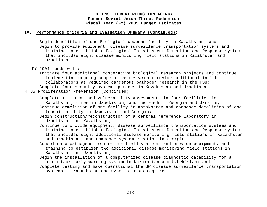## **IV. Performance Criteria and Evaluation Summary (Continued):**

Begin demolition of one Biological Weapons facility in Kazakhstan; and Begin to provide equipment, disease surveillance transportation systems and training to establish a Biological Threat Agent Detection and Response system that includes eight disease monitoring field stations in Kazakhstan and Uzbekistan.

Initiate four additional cooperative biological research projects and continue implementing ongoing cooperative research (provide additional in-lab collaborators as required dangerous pathogen research in the FSU); Complete four security system upgrades in Kazakhstan and Uzbekistan;

H. BW Proliferation Prevention (Continued):

Complete 11 Threat and Vulnerability Assessments in four facilities in Kazakhstan, three in Uzbekistan, and two each in Georgia and Ukraine; Continue demolition of one facility in Kazakhstan and commence demolition of one

(each) facility in Uzbekistan and Georgia;

Begin construction/reconstruction of a central reference laboratory in Uzbekistan and Kazakhstan;

- Continue to provide equipment, disease surveillance transportation systems and training to establish a Biological Threat Agent Detection and Response system that includes eight additional disease monitoring field stations in Kazakhstan and Uzbekistan, and commence system creation in Georgia.
- Consolidate pathogens from remote field stations and provide equipment, and training to establish two additional disease monitoring field stations in Kazakhstan and Uzbekistan;
- Begin the installation of a computerized disease diagnostic capability for a bio-attack early warning system in Kazakhstan and Uzbekistan; and
- Complete testing and make operational the BW disease surveillance transportation systems in Kazakhstan and Uzbekistan as required.

FY 2004 funds will: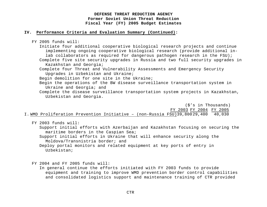## **IV. Performance Criteria and Evaluation Summary (Continued):**

FY 2005 funds will:

Initiate four additional cooperative biological research projects and continue implementing ongoing cooperative biological research (provide additional inlab collaborators as required for dangerous pathogen research in the FSU); Complete five site security upgrades in Russia and two full security upgrades in

Kazakhstan and Georgia;

Complete four Threat and Vulnerability Assessments and Emergency Security Upgrades in Uzbekistan and Ukraine;

Begin demolition for one site in the Ukraine;

Begin the operations of the BW disease surveillance transportation system in Ukraine and Georgia; and

Complete the disease surveillance transportation system projects in Kazakhstan, Uzbekistan and Georgia.

(\$'s in Thousands) FY 2003 FY 2004 FY 2005 I. WMD Proliferation Prevention Initiative – (non-Russia FSU)39,80029,400 40,030

FY 2003 funds will:

Support initial efforts with Azerbaijan and Kazakhstan focusing on securing the maritime borders in the Caspian Sea;

Support initial efforts in Ukraine that will enhance security along the Moldova/Transnistria border; and

Deploy portal monitors and related equipment at key ports of entry in Uzbekistan;

FY 2004 and FY 2005 funds will:

In general continue the efforts initiated with FY 2003 funds to provide equipment and training to improve WMD prevention border control capabilities and consolidated logistics support and maintenance training of CTR provided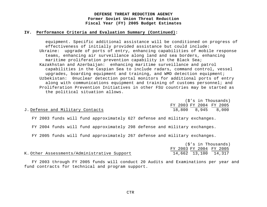#### **IV. Performance Criteria and Evaluation Summary (Continued):**

equipment. Specific additional assistance will be conditioned on progress of effectiveness of initially provided assistance but could include: Ukraine: upgrade of ports of entry, enhancing capabilities of mobile response teams, enhancing air surveillance along land and sea borders, enhancing maritime proliferation prevention capability in the Black Sea; Kazakhstan and Azerbaijan: enhancing maritime surveillance and patrol capabilities in the Caspian Sea to include radars, command control, vessel upgrades, boarding equipment and training, and WMD detection equipment; Uzbekistan: 0nuclear detection portal monitors for additional ports of entry along with communications equipment and training of customs personnel; and Proliferation Prevention Initiatives in other FSU countries may be started as the political situation allows.

|                                 |                         | (\$'s in Thousands) |
|---------------------------------|-------------------------|---------------------|
|                                 | FY 2003 FY 2004 FY 2005 |                     |
| J.Defense and Military Contacts | 18,800 8,945 8,000      |                     |
|                                 |                         |                     |

FY 2003 funds will fund approximately 627 defense and military exchanges.

FY 2004 funds will fund approximately 298 defense and military exchanges.

FY 2005 funds will fund approximately 267 defense and military exchanges.

|  |                                             |  |  | (\$'s in Thousands)     |
|--|---------------------------------------------|--|--|-------------------------|
|  |                                             |  |  | FY 2003 FY 2004 FY 2005 |
|  | K. Other Assessments/Administrative Support |  |  | 14,662 13,100 14,317    |

FY 2003 through FY 2005 funds will conduct 20 Audits and Examinations per year and fund contracts for technical and program support.